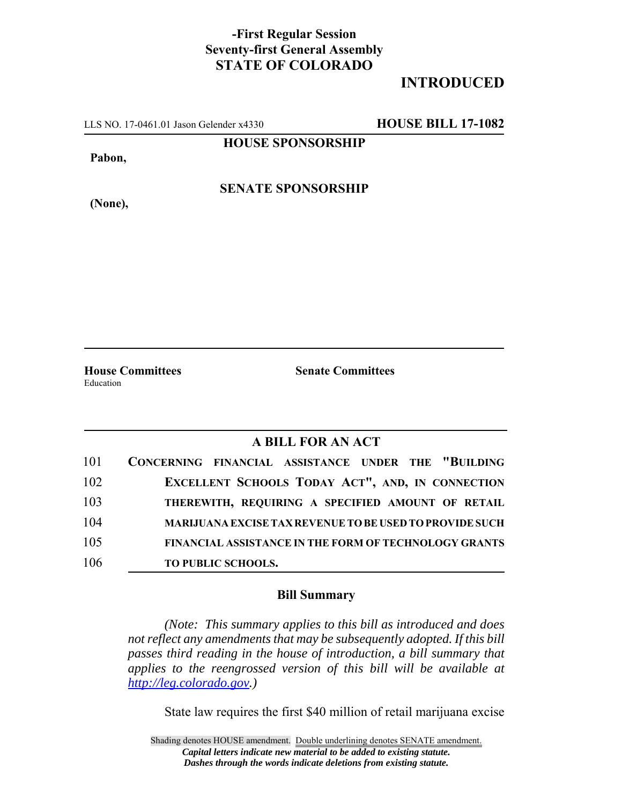## **-First Regular Session Seventy-first General Assembly STATE OF COLORADO**

## **INTRODUCED**

LLS NO. 17-0461.01 Jason Gelender x4330 **HOUSE BILL 17-1082**

**HOUSE SPONSORSHIP**

**Pabon,**

**(None),**

**SENATE SPONSORSHIP**

**House Committees Senate Committees** Education

## **A BILL FOR AN ACT**

| 101 | CONCERNING FINANCIAL ASSISTANCE UNDER THE "BUILDING            |
|-----|----------------------------------------------------------------|
| 102 | EXCELLENT SCHOOLS TODAY ACT", AND, IN CONNECTION               |
| 103 | THEREWITH, REQUIRING A SPECIFIED AMOUNT OF RETAIL              |
| 104 | <b>MARIJUANA EXCISE TAX REVENUE TO BE USED TO PROVIDE SUCH</b> |
| 105 | <b>FINANCIAL ASSISTANCE IN THE FORM OF TECHNOLOGY GRANTS</b>   |
| 106 | <b>TO PUBLIC SCHOOLS.</b>                                      |

## **Bill Summary**

*(Note: This summary applies to this bill as introduced and does not reflect any amendments that may be subsequently adopted. If this bill passes third reading in the house of introduction, a bill summary that applies to the reengrossed version of this bill will be available at http://leg.colorado.gov.)*

State law requires the first \$40 million of retail marijuana excise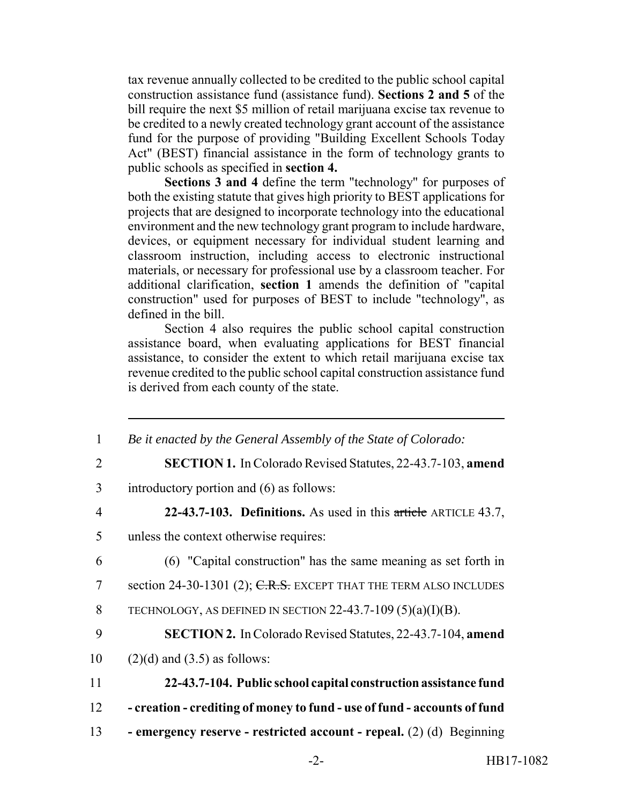tax revenue annually collected to be credited to the public school capital construction assistance fund (assistance fund). **Sections 2 and 5** of the bill require the next \$5 million of retail marijuana excise tax revenue to be credited to a newly created technology grant account of the assistance fund for the purpose of providing "Building Excellent Schools Today Act" (BEST) financial assistance in the form of technology grants to public schools as specified in **section 4.**

**Sections 3 and 4** define the term "technology" for purposes of both the existing statute that gives high priority to BEST applications for projects that are designed to incorporate technology into the educational environment and the new technology grant program to include hardware, devices, or equipment necessary for individual student learning and classroom instruction, including access to electronic instructional materials, or necessary for professional use by a classroom teacher. For additional clarification, **section 1** amends the definition of "capital construction" used for purposes of BEST to include "technology", as defined in the bill.

Section 4 also requires the public school capital construction assistance board, when evaluating applications for BEST financial assistance, to consider the extent to which retail marijuana excise tax revenue credited to the public school capital construction assistance fund is derived from each county of the state.

 *Be it enacted by the General Assembly of the State of Colorado:* **SECTION 1.** In Colorado Revised Statutes, 22-43.7-103, **amend** introductory portion and (6) as follows: **22-43.7-103. Definitions.** As used in this article ARTICLE 43.7, unless the context otherwise requires: (6) "Capital construction" has the same meaning as set forth in 7 section 24-30-1301 (2); C.R.S. EXCEPT THAT THE TERM ALSO INCLUDES 8 TECHNOLOGY, AS DEFINED IN SECTION  $22-43.7-109(5)(a)(I)(B)$ . **SECTION 2.** In Colorado Revised Statutes, 22-43.7-104, **amend**  $(2)(d)$  and  $(3.5)$  as follows: **22-43.7-104. Public school capital construction assistance fund - creation - crediting of money to fund - use of fund - accounts of fund - emergency reserve - restricted account - repeal.** (2) (d) Beginning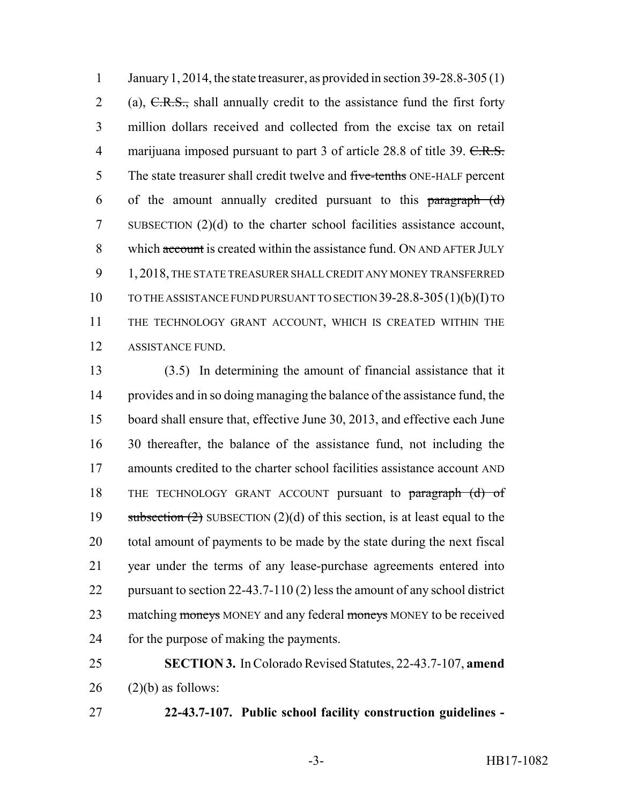January 1, 2014, the state treasurer, as provided in section 39-28.8-305 (1) 2 (a),  $C.R.S.,$  shall annually credit to the assistance fund the first forty million dollars received and collected from the excise tax on retail 4 marijuana imposed pursuant to part 3 of article 28.8 of title 39. C.R.S. 5 The state treasurer shall credit twelve and five-tenths ONE-HALF percent 6 of the amount annually credited pursuant to this  $\frac{\text{paramal}}{\text{paramal}}$  SUBSECTION (2)(d) to the charter school facilities assistance account, 8 which account is created within the assistance fund. ON AND AFTER JULY 1, 2018, THE STATE TREASURER SHALL CREDIT ANY MONEY TRANSFERRED TO THE ASSISTANCE FUND PURSUANT TO SECTION 39-28.8-305(1)(b)(I) TO THE TECHNOLOGY GRANT ACCOUNT, WHICH IS CREATED WITHIN THE ASSISTANCE FUND.

 (3.5) In determining the amount of financial assistance that it provides and in so doing managing the balance of the assistance fund, the board shall ensure that, effective June 30, 2013, and effective each June 30 thereafter, the balance of the assistance fund, not including the amounts credited to the charter school facilities assistance account AND 18 THE TECHNOLOGY GRANT ACCOUNT pursuant to paragraph (d) of 19 subsection  $(2)$  SUBSECTION  $(2)(d)$  of this section, is at least equal to the total amount of payments to be made by the state during the next fiscal year under the terms of any lease-purchase agreements entered into pursuant to section 22-43.7-110 (2) less the amount of any school district 23 matching moneys MONEY and any federal moneys MONEY to be received for the purpose of making the payments.

 **SECTION 3.** In Colorado Revised Statutes, 22-43.7-107, **amend** (2)(b) as follows:

**22-43.7-107. Public school facility construction guidelines -**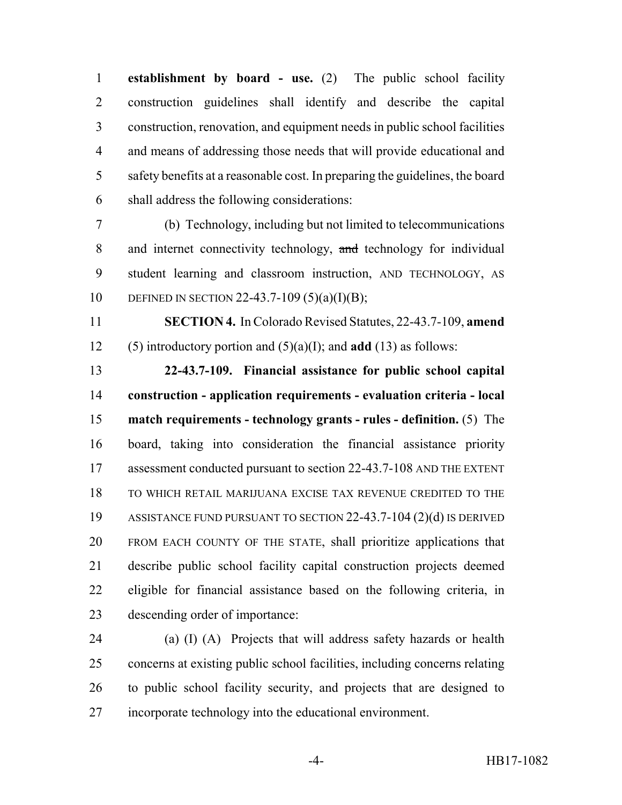**establishment by board - use.** (2) The public school facility construction guidelines shall identify and describe the capital construction, renovation, and equipment needs in public school facilities and means of addressing those needs that will provide educational and safety benefits at a reasonable cost. In preparing the guidelines, the board shall address the following considerations:

 (b) Technology, including but not limited to telecommunications 8 and internet connectivity technology, and technology for individual student learning and classroom instruction, AND TECHNOLOGY, AS 10 DEFINED IN SECTION 22-43.7-109 (5)(a)(I)(B);

 **SECTION 4.** In Colorado Revised Statutes, 22-43.7-109, **amend** (5) introductory portion and (5)(a)(I); and **add** (13) as follows:

 **22-43.7-109. Financial assistance for public school capital construction - application requirements - evaluation criteria - local match requirements - technology grants - rules - definition.** (5) The board, taking into consideration the financial assistance priority 17 assessment conducted pursuant to section 22-43.7-108 AND THE EXTENT TO WHICH RETAIL MARIJUANA EXCISE TAX REVENUE CREDITED TO THE ASSISTANCE FUND PURSUANT TO SECTION 22-43.7-104 (2)(d) IS DERIVED FROM EACH COUNTY OF THE STATE, shall prioritize applications that describe public school facility capital construction projects deemed eligible for financial assistance based on the following criteria, in descending order of importance:

 (a) (I) (A) Projects that will address safety hazards or health concerns at existing public school facilities, including concerns relating to public school facility security, and projects that are designed to incorporate technology into the educational environment.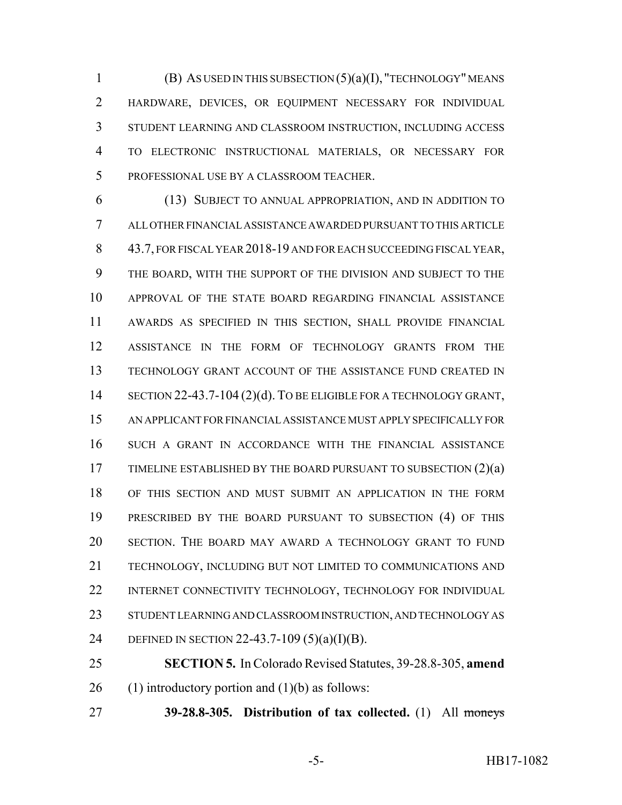$(B)$  AS USED IN THIS SUBSECTION  $(5)(a)(I)$ , "TECHNOLOGY" MEANS HARDWARE, DEVICES, OR EQUIPMENT NECESSARY FOR INDIVIDUAL STUDENT LEARNING AND CLASSROOM INSTRUCTION, INCLUDING ACCESS TO ELECTRONIC INSTRUCTIONAL MATERIALS, OR NECESSARY FOR PROFESSIONAL USE BY A CLASSROOM TEACHER.

 (13) SUBJECT TO ANNUAL APPROPRIATION, AND IN ADDITION TO ALL OTHER FINANCIAL ASSISTANCE AWARDED PURSUANT TO THIS ARTICLE 43.7, FOR FISCAL YEAR 2018-19 AND FOR EACH SUCCEEDING FISCAL YEAR, THE BOARD, WITH THE SUPPORT OF THE DIVISION AND SUBJECT TO THE APPROVAL OF THE STATE BOARD REGARDING FINANCIAL ASSISTANCE AWARDS AS SPECIFIED IN THIS SECTION, SHALL PROVIDE FINANCIAL ASSISTANCE IN THE FORM OF TECHNOLOGY GRANTS FROM THE TECHNOLOGY GRANT ACCOUNT OF THE ASSISTANCE FUND CREATED IN 14 SECTION 22-43.7-104 (2)(d). TO BE ELIGIBLE FOR A TECHNOLOGY GRANT, AN APPLICANT FOR FINANCIAL ASSISTANCE MUST APPLY SPECIFICALLY FOR SUCH A GRANT IN ACCORDANCE WITH THE FINANCIAL ASSISTANCE 17 TIMELINE ESTABLISHED BY THE BOARD PURSUANT TO SUBSECTION (2)(a) OF THIS SECTION AND MUST SUBMIT AN APPLICATION IN THE FORM PRESCRIBED BY THE BOARD PURSUANT TO SUBSECTION (4) OF THIS SECTION. THE BOARD MAY AWARD A TECHNOLOGY GRANT TO FUND TECHNOLOGY, INCLUDING BUT NOT LIMITED TO COMMUNICATIONS AND INTERNET CONNECTIVITY TECHNOLOGY, TECHNOLOGY FOR INDIVIDUAL STUDENT LEARNING AND CLASSROOM INSTRUCTION, AND TECHNOLOGY AS DEFINED IN SECTION 22-43.7-109 (5)(a)(I)(B).

 **SECTION 5.** In Colorado Revised Statutes, 39-28.8-305, **amend** 26 (1) introductory portion and  $(1)(b)$  as follows:

**39-28.8-305. Distribution of tax collected.** (1) All moneys